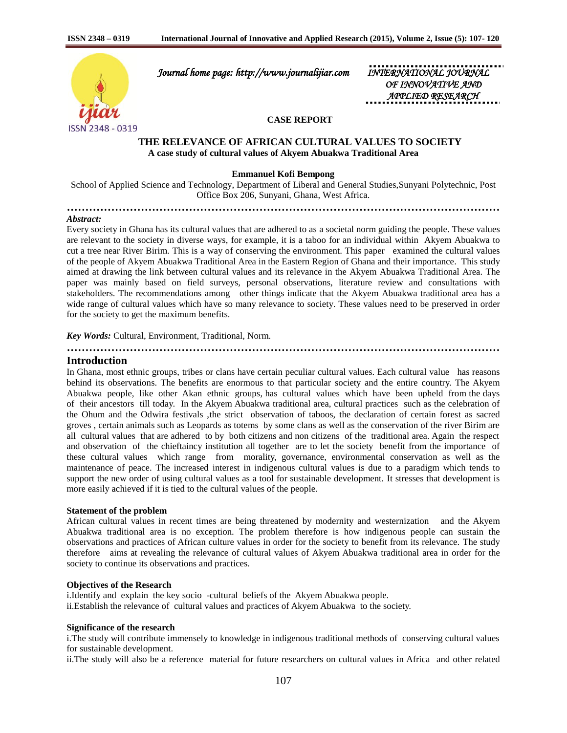

 *Journal home page: http://www.journalijiar.com INTERNATIONAL JOURNAL* 

*OF INNOVATIVE AND APPLIED RESEARCH* 

## **CASE REPORT**

# **THE RELEVANCE OF AFRICAN CULTURAL VALUES TO SOCIETY A case study of cultural values of Akyem Abuakwa Traditional Area**

**Emmanuel Kofi Bempong**

School of Applied Science and Technology, Department of Liberal and General Studies,Sunyani Polytechnic, Post Office Box 206, Sunyani, Ghana, West Africa.

**………………………………………………………………………………………………………**

## *Abstract:*

Every society in Ghana has its cultural values that are adhered to as a societal norm guiding the people. These values are relevant to the society in diverse ways, for example, it is a taboo for an individual within Akyem Abuakwa to cut a tree near River Birim. This is a way of conserving the environment. This paper examined the cultural values of the people of Akyem Abuakwa Traditional Area in the Eastern Region of Ghana and their importance. This study aimed at drawing the link between cultural values and its relevance in the Akyem Abuakwa Traditional Area. The paper was mainly based on field surveys, personal observations, literature review and consultations with stakeholders. The recommendations among other things indicate that the Akyem Abuakwa traditional area has a wide range of cultural values which have so many relevance to society. These values need to be preserved in order for the society to get the maximum benefits.

**………………………………………………………………………………………………………**

*Key Words:* Cultural, Environment, Traditional, Norm.

# **Introduction**

In Ghana, most ethnic groups, tribes or clans have certain peculiar cultural values. Each cultural value has reasons behind its observations. The benefits are enormous to that particular society and the entire country. The Akyem Abuakwa people, like other Akan ethnic groups, has cultural values which have been upheld from the days of their ancestors till today. In the Akyem Abuakwa traditional area, cultural practices such as the celebration of the Ohum and the Odwira festivals ,the strict observation of taboos, the declaration of certain forest as sacred groves , certain animals such as Leopards as totems by some clans as well as the conservation of the river Birim are all cultural values that are adhered to by both citizens and non citizens of the traditional area. Again the respect and observation of the chieftaincy institution all together are to let the society benefit from the importance of these cultural values which range from morality, governance, environmental conservation as well as the maintenance of peace. The increased interest in indigenous cultural values is due to a paradigm which tends to support the new order of using cultural values as a tool for sustainable development. It stresses that development is more easily achieved if it is tied to the cultural values of the people.

#### **Statement of the problem**

African cultural values in recent times are being threatened by modernity and westernization and the Akyem Abuakwa traditional area is no exception. The problem therefore is how indigenous people can sustain the observations and practices of African culture values in order for the society to benefit from its relevance. The study therefore aims at revealing the relevance of cultural values of Akyem Abuakwa traditional area in order for the society to continue its observations and practices.

### **Objectives of the Research**

i.Identify and explain the key socio -cultural beliefs of the Akyem Abuakwa people. ii.Establish the relevance of cultural values and practices of Akyem Abuakwa to the society.

## **Significance of the research**

i.The study will contribute immensely to knowledge in indigenous traditional methods of conserving cultural values for sustainable development.

ii.The study will also be a reference material for future researchers on cultural values in Africa and other related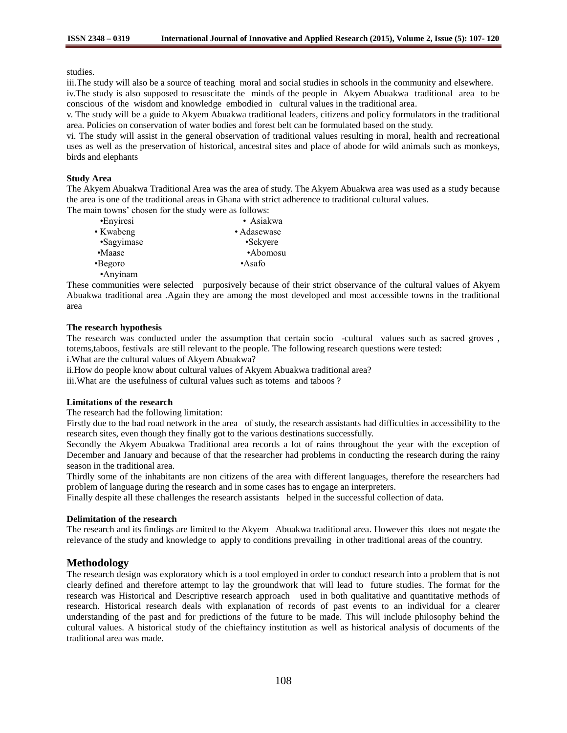studies.

iii.The study will also be a source of teaching moral and social studies in schools in the community and elsewhere.

iv.The study is also supposed to resuscitate the minds of the people in Akyem Abuakwa traditional area to be conscious of the wisdom and knowledge embodied in cultural values in the traditional area.

v. The study will be a guide to Akyem Abuakwa traditional leaders, citizens and policy formulators in the traditional area. Policies on conservation of water bodies and forest belt can be formulated based on the study.

vi. The study will assist in the general observation of traditional values resulting in moral, health and recreational uses as well as the preservation of historical, ancestral sites and place of abode for wild animals such as monkeys, birds and elephants

# **Study Area**

The Akyem Abuakwa Traditional Area was the area of study. The Akyem Abuakwa area was used as a study because the area is one of the traditional areas in Ghana with strict adherence to traditional cultural values.

The main towns' chosen for the study were as follows:

| •Enyiresi  | • Asiakwa   |
|------------|-------------|
| • Kwabeng  | • Adasewase |
| •Sagyimase | •Sekyere    |
| •Maase     | •Abomosu    |
| •Begoro    | $-A$ safo   |
| ·Anyinam   |             |

These communities were selected purposively because of their strict observance of the cultural values of Akyem Abuakwa traditional area .Again they are among the most developed and most accessible towns in the traditional area

# **The research hypothesis**

The research was conducted under the assumption that certain socio -cultural values such as sacred groves , totems,taboos, festivals are still relevant to the people. The following research questions were tested:

i.What are the cultural values of Akyem Abuakwa?

ii.How do people know about cultural values of Akyem Abuakwa traditional area?

iii.What are the usefulness of cultural values such as totems and taboos ?

## **Limitations of the research**

The research had the following limitation:

Firstly due to the bad road network in the area of study, the research assistants had difficulties in accessibility to the research sites, even though they finally got to the various destinations successfully.

Secondly the Akyem Abuakwa Traditional area records a lot of rains throughout the year with the exception of December and January and because of that the researcher had problems in conducting the research during the rainy season in the traditional area.

Thirdly some of the inhabitants are non citizens of the area with different languages, therefore the researchers had problem of language during the research and in some cases has to engage an interpreters.

Finally despite all these challenges the research assistants helped in the successful collection of data.

# **Delimitation of the research**

The research and its findings are limited to the Akyem Abuakwa traditional area. However this does not negate the relevance of the study and knowledge to apply to conditions prevailing in other traditional areas of the country.

# **Methodology**

The research design was exploratory which is a tool employed in order to conduct research into a problem that is not clearly defined and therefore attempt to lay the groundwork that will lead to future studies. The format for the research was Historical and Descriptive research approach used in both qualitative and quantitative methods of research. Historical research deals with explanation of records of past events to an individual for a clearer understanding of the past and for predictions of the future to be made. This will include philosophy behind the cultural values. A historical study of the chieftaincy institution as well as historical analysis of documents of the traditional area was made.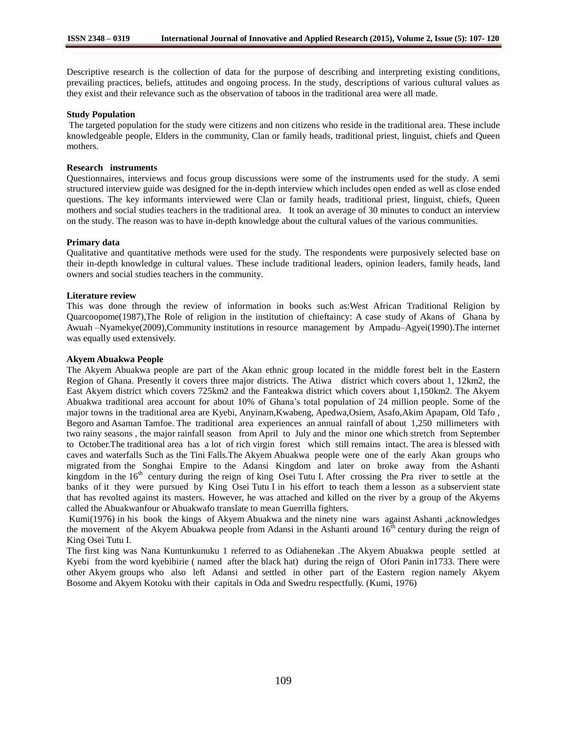Descriptive research is the collection of data for the purpose of describing and interpreting existing conditions, prevailing practices, beliefs, attitudes and ongoing process. In the study, descriptions of various cultural values as they exist and their relevance such as the observation of taboos in the traditional area were all made.

## **Study Population**

The targeted population for the study were citizens and non citizens who reside in the traditional area. These include knowledgeable people, Elders in the community, Clan or family heads, traditional priest, linguist, chiefs and Queen mothers.

### **Research instruments**

Questionnaires, interviews and focus group discussions were some of the instruments used for the study. A semi structured interview guide was designed for the in-depth interview which includes open ended as well as close ended questions. The key informants interviewed were Clan or family heads, traditional priest, linguist, chiefs, Queen mothers and social studies teachers in the traditional area. It took an average of 30 minutes to conduct an interview on the study. The reason was to have in-depth knowledge about the cultural values of the various communities.

#### **Primary data**

Qualitative and quantitative methods were used for the study. The respondents were purposively selected base on their in-depth knowledge in cultural values. These include traditional leaders, opinion leaders, family heads, land owners and social studies teachers in the community.

#### **Literature review**

This was done through the review of information in books such as:West African Traditional Religion by Quarcoopome(1987),The Role of religion in the institution of chieftaincy: A case study of Akans of Ghana by Awuah –Nyamekye(2009),Community institutions in resource management by Ampadu–Agyei(1990).The internet was equally used extensively.

### **Akyem Abuakwa People**

The Akyem Abuakwa people are part of the Akan ethnic group located in the middle forest belt in the Eastern Region of Ghana. Presently it covers three major districts. The Atiwa district which covers about 1, 12km2, the East Akyem district which covers 725km2 and the Fanteakwa district which covers about 1,150km2. The Akyem Abuakwa traditional area account for about 10% of Ghana's total population of 24 million people. Some of the major towns in the traditional area are Kyebi, Anyinam,Kwabeng, Apedwa,Osiem, Asafo,Akim Apapam, Old Tafo , Begoro and Asaman Tamfoe. The traditional area experiences an annual rainfall of about 1,250 millimeters with two rainy seasons , the major rainfall season from April to July and the minor one which stretch from September to October.The traditional area has a lot of rich virgin forest which still remains intact. The area is blessed with caves and waterfalls Such as the Tini Falls.The Akyem Abuakwa people were one of the early Akan groups who migrated from the Songhai Empire to the Adansi Kingdom and later on broke away from the Ashanti kingdom in the 16<sup>th</sup> century during the reign of king Osei Tutu I. After crossing the Pra river to settle at the banks of it they were pursued by King Osei Tutu I in his effort to teach them a lesson as a subservient state that has revolted against its masters. However, he was attached and killed on the river by a group of the Akyems called the Abuakwanfour or Abuakwafo translate to mean Guerrilla fighters.

Kumi(1976) in his book the kings of Akyem Abuakwa and the ninety nine wars against Ashanti ,acknowledges the movement of the Akyem Abuakwa people from Adansi in the Ashanti around  $16<sup>th</sup>$  century during the reign of King Osei Tutu I.

The first king was Nana Kuntunkunuku 1 referred to as Odiahenekan .The Akyem Abuakwa people settled at Kyebi from the word kyebibirie ( named after the black hat) during the reign of Ofori Panin in1733. There were other Akyem groups who also left Adansi and settled in other part of the Eastern region namely Akyem Bosome and Akyem Kotoku with their capitals in Oda and Swedru respectfully. (Kumi, 1976)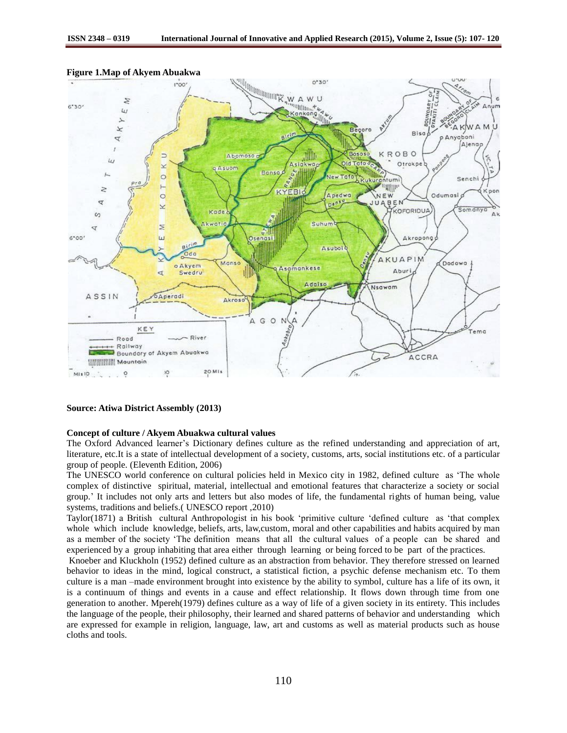

### **Figure 1.Map of Akyem Abuakwa**

#### **Source: Atiwa District Assembly (2013)**

#### **Concept of culture / Akyem Abuakwa cultural values**

The Oxford Advanced learner's Dictionary defines culture as the refined understanding and appreciation of art, literature, etc.It is a state of intellectual development of a society, customs, arts, social institutions etc. of a particular group of people. (Eleventh Edition, 2006)

The UNESCO world conference on cultural policies held in Mexico city in 1982, defined culture as 'The whole complex of distinctive spiritual, material, intellectual and emotional features that characterize a society or social group.' It includes not only arts and letters but also modes of life, the fundamental rights of human being, value systems, traditions and beliefs.( UNESCO report ,2010)

Taylor(1871) a British cultural Anthropologist in his book 'primitive culture 'defined culture as 'that complex whole which include knowledge, beliefs, arts, law,custom, moral and other capabilities and habits acquired by man as a member of the society 'The definition means that all the cultural values of a people can be shared and experienced by a group inhabiting that area either through learning or being forced to be part of the practices.

Knoeber and Kluckholn (1952) defined culture as an abstraction from behavior. They therefore stressed on learned behavior to ideas in the mind, logical construct, a statistical fiction, a psychic defense mechanism etc. To them culture is a man –made environment brought into existence by the ability to symbol, culture has a life of its own, it is a continuum of things and events in a cause and effect relationship. It flows down through time from one generation to another. Mpereh(1979) defines culture as a way of life of a given society in its entirety. This includes the language of the people, their philosophy, their learned and shared patterns of behavior and understanding which are expressed for example in religion, language, law, art and customs as well as material products such as house cloths and tools.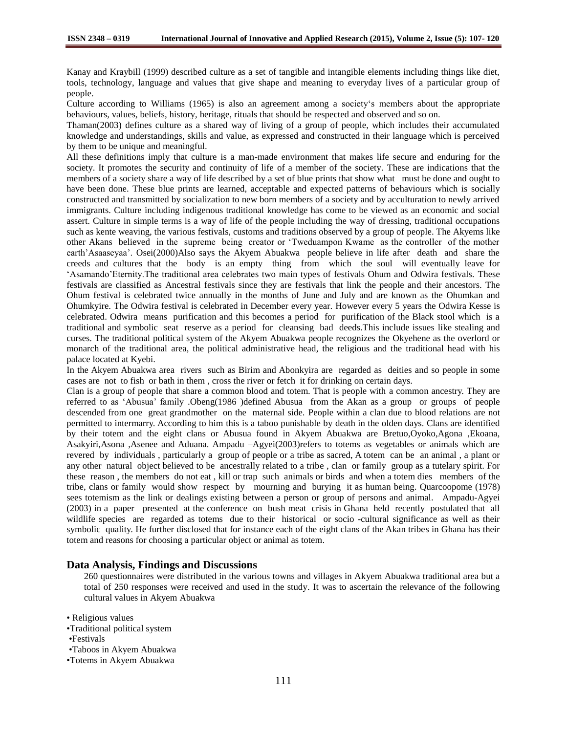Kanay and Kraybill (1999) described culture as a set of tangible and intangible elements including things like diet, tools, technology, language and values that give shape and meaning to everyday lives of a particular group of people.

Culture according to Williams (1965) is also an agreement among a society's members about the appropriate behaviours, values, beliefs, history, heritage, rituals that should be respected and observed and so on.

Thaman(2003) defines culture as a shared way of living of a group of people, which includes their accumulated knowledge and understandings, skills and value, as expressed and constructed in their language which is perceived by them to be unique and meaningful.

All these definitions imply that culture is a man-made environment that makes life secure and enduring for the society. It promotes the security and continuity of life of a member of the society. These are indications that the members of a society share a way of life described by a set of blue prints that show what must be done and ought to have been done. These blue prints are learned, acceptable and expected patterns of behaviours which is socially constructed and transmitted by socialization to new born members of a society and by acculturation to newly arrived immigrants. Culture including indigenous traditional knowledge has come to be viewed as an economic and social assert. Culture in simple terms is a way of life of the people including the way of dressing, traditional occupations such as kente weaving, the various festivals, customs and traditions observed by a group of people. The Akyems like other Akans believed in the supreme being creator or 'Tweduampon Kwame as the controller of the mother earth'Asaaseyaa'. Osei(2000)Also says the Akyem Abuakwa people believe in life after death and share the creeds and cultures that the body is an empty thing from which the soul will eventually leave for 'Asamando'Eternity.The traditional area celebrates two main types of festivals Ohum and Odwira festivals. These festivals are classified as Ancestral festivals since they are festivals that link the people and their ancestors. The Ohum festival is celebrated twice annually in the months of June and July and are known as the Ohumkan and Ohumkyire. The Odwira festival is celebrated in December every year. However every 5 years the Odwira Kesse is celebrated. Odwira means purification and this becomes a period for purification of the Black stool which is a traditional and symbolic seat reserve as a period for cleansing bad deeds.This include issues like stealing and curses. The traditional political system of the Akyem Abuakwa people recognizes the Okyehene as the overlord or monarch of the traditional area, the political administrative head, the religious and the traditional head with his palace located at Kyebi.

In the Akyem Abuakwa area rivers such as Birim and Abonkyira are regarded as deities and so people in some cases are not to fish or bath in them , cross the river or fetch it for drinking on certain days.

Clan is a group of people that share a common blood and totem. That is people with a common ancestry. They are referred to as 'Abusua' family .Obeng(1986 )defined Abusua from the Akan as a group or groups of people descended from one great grandmother on the maternal side. People within a clan due to blood relations are not permitted to intermarry. According to him this is a taboo punishable by death in the olden days. Clans are identified by their totem and the eight clans or Abusua found in Akyem Abuakwa are Bretuo,Oyoko,Agona ,Ekoana, Asakyiri,Asona ,Asenee and Aduana. Ampadu –Agyei(2003)refers to totems as vegetables or animals which are revered by individuals , particularly a group of people or a tribe as sacred, A totem can be an animal , a plant or any other natural object believed to be ancestrally related to a tribe , clan or family group as a tutelary spirit. For these reason , the members do not eat , kill or trap such animals or birds and when a totem dies members of the tribe, clans or family would show respect by mourning and burying it as human being. Quarcoopome (1978) sees totemism as the link or dealings existing between a person or group of persons and animal. Ampadu-Agyei (2003) in a paper presented at the conference on bush meat crisis in Ghana held recently postulated that all wildlife species are regarded as totems due to their historical or socio -cultural significance as well as their symbolic quality. He further disclosed that for instance each of the eight clans of the Akan tribes in Ghana has their totem and reasons for choosing a particular object or animal as totem.

# **Data Analysis, Findings and Discussions**

260 questionnaires were distributed in the various towns and villages in Akyem Abuakwa traditional area but a total of 250 responses were received and used in the study. It was to ascertain the relevance of the following cultural values in Akyem Abuakwa

• Religious values

•Traditional political system

•Taboos in Akyem Abuakwa

•Totems in Akyem Abuakwa

<sup>•</sup>Festivals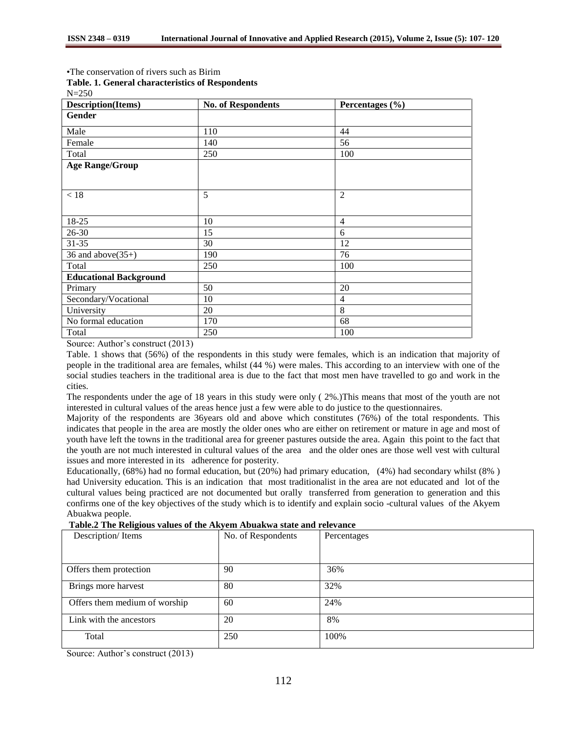•The conservation of rivers such as Birim

N=250

| Description(Items)            | <b>No. of Respondents</b> | Percentages (%) |
|-------------------------------|---------------------------|-----------------|
| Gender                        |                           |                 |
| Male                          | 110                       | 44              |
| Female                        | 140                       | 56              |
| Total                         | 250                       | 100             |
| <b>Age Range/Group</b>        |                           |                 |
|                               |                           |                 |
| < 18                          | 5                         | $\overline{2}$  |
| 18-25                         | 10                        | $\overline{4}$  |
| $26 - 30$                     | 15                        | 6               |
| $31 - 35$                     | 30                        | 12              |
| 36 and above $(35+)$          | 190                       | 76              |
| Total                         | 250                       | 100             |
| <b>Educational Background</b> |                           |                 |
| Primary                       | 50                        | 20              |
| Secondary/Vocational          | 10                        | $\overline{4}$  |
| University                    | 20                        | 8               |
| No formal education           | 170                       | 68              |
| Total                         | 250                       | 100             |

Source: Author's construct (2013)

Table. 1 shows that (56%) of the respondents in this study were females, which is an indication that majority of people in the traditional area are females, whilst (44 %) were males. This according to an interview with one of the social studies teachers in the traditional area is due to the fact that most men have travelled to go and work in the cities.

The respondents under the age of 18 years in this study were only ( 2%.)This means that most of the youth are not interested in cultural values of the areas hence just a few were able to do justice to the questionnaires.

Majority of the respondents are 36years old and above which constitutes (76%) of the total respondents. This indicates that people in the area are mostly the older ones who are either on retirement or mature in age and most of youth have left the towns in the traditional area for greener pastures outside the area. Again this point to the fact that the youth are not much interested in cultural values of the area and the older ones are those well vest with cultural issues and more interested in its adherence for posterity.

Educationally, (68%) had no formal education, but (20%) had primary education, (4%) had secondary whilst (8% ) had University education. This is an indication that most traditionalist in the area are not educated and lot of the cultural values being practiced are not documented but orally transferred from generation to generation and this confirms one of the key objectives of the study which is to identify and explain socio -cultural values of the Akyem Abuakwa people.

|  |  |  |  | Table.2 The Religious values of the Akyem Abuakwa state and relevance |
|--|--|--|--|-----------------------------------------------------------------------|
|  |  |  |  |                                                                       |

| Description/Items             | No. of Respondents | Percentages |
|-------------------------------|--------------------|-------------|
|                               |                    |             |
| Offers them protection        | 90                 | 36%         |
| Brings more harvest           | 80                 | 32%         |
| Offers them medium of worship | 60                 | 24%         |
| Link with the ancestors       | 20                 | 8%          |
| Total                         | 250                | 100%        |

Source: Author's construct (2013)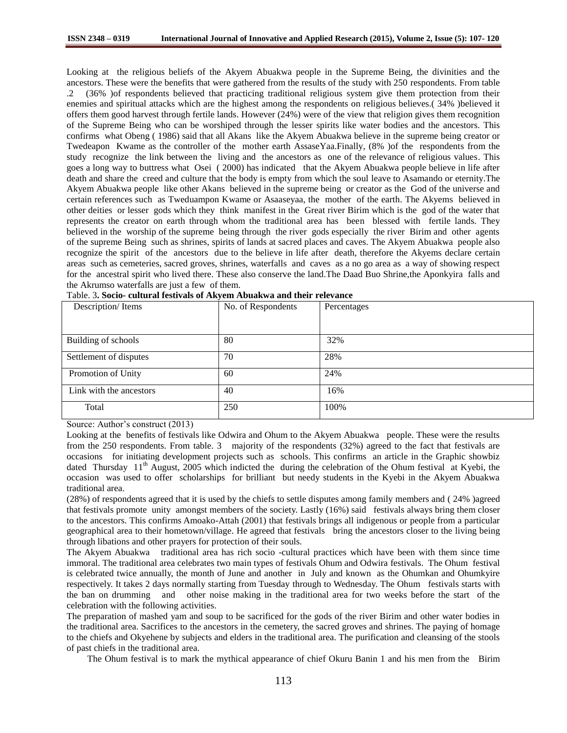Looking at the religious beliefs of the Akyem Abuakwa people in the Supreme Being, the divinities and the ancestors. These were the benefits that were gathered from the results of the study with 250 respondents. From table .2 (36% )of respondents believed that practicing traditional religious system give them protection from their enemies and spiritual attacks which are the highest among the respondents on religious believes.( 34% )believed it offers them good harvest through fertile lands. However (24%) were of the view that religion gives them recognition of the Supreme Being who can be worshiped through the lesser spirits like water bodies and the ancestors. This confirms what Obeng ( 1986) said that all Akans like the Akyem Abuakwa believe in the supreme being creator or Twedeapon Kwame as the controller of the mother earth AssaseYaa.Finally, (8% )of the respondents from the study recognize the link between the living and the ancestors as one of the relevance of religious values. This goes a long way to buttress what Osei ( 2000) has indicated that the Akyem Abuakwa people believe in life after death and share the creed and culture that the body is empty from which the soul leave to Asamando or eternity.The Akyem Abuakwa people like other Akans believed in the supreme being or creator as the God of the universe and certain references such as Tweduampon Kwame or Asaaseyaa, the mother of the earth. The Akyems believed in other deities or lesser gods which they think manifest in the Great river Birim which is the god of the water that represents the creator on earth through whom the traditional area has been blessed with fertile lands. They believed in the worship of the supreme being through the river gods especially the river Birim and other agents of the supreme Being such as shrines, spirits of lands at sacred places and caves. The Akyem Abuakwa people also recognize the spirit of the ancestors due to the believe in life after death, therefore the Akyems declare certain areas such as cemeteries, sacred groves, shrines, waterfalls and caves as a no go area as a way of showing respect for the ancestral spirit who lived there. These also conserve the land.The Daad Buo Shrine,the Aponkyira falls and the Akrumso waterfalls are just a few of them.

| Tavić. 3. Socio- cultural festivais of Akyelli Abuakwa and their Televalice |                    |             |
|-----------------------------------------------------------------------------|--------------------|-------------|
| Description/Items                                                           | No. of Respondents | Percentages |
|                                                                             |                    |             |
|                                                                             |                    |             |
|                                                                             |                    |             |
|                                                                             |                    |             |
| Building of schools                                                         | 80                 | 32%         |
|                                                                             |                    |             |
| Settlement of disputes                                                      | 70                 | 28%         |
|                                                                             |                    |             |
| Promotion of Unity                                                          | 60                 | 24%         |
|                                                                             |                    |             |
| Link with the ancestors                                                     | 40                 | 16%         |
|                                                                             |                    |             |
| Total                                                                       | 250                | 100%        |
|                                                                             |                    |             |
|                                                                             |                    |             |

Table. 3**. Socio- cultural festivals of Akyem Abuakwa and their relevance**

Source: Author's construct (2013)

Looking at the benefits of festivals like Odwira and Ohum to the Akyem Abuakwa people. These were the results from the 250 respondents. From table. 3 majority of the respondents (32%) agreed to the fact that festivals are occasions for initiating development projects such as schools. This confirms an article in the Graphic showbiz dated Thursday 11<sup>th</sup> August, 2005 which indicted the during the celebration of the Ohum festival at Kyebi, the occasion was used to offer scholarships for brilliant but needy students in the Kyebi in the Akyem Abuakwa traditional area.

(28%) of respondents agreed that it is used by the chiefs to settle disputes among family members and ( 24% )agreed that festivals promote unity amongst members of the society. Lastly (16%) said festivals always bring them closer to the ancestors. This confirms Amoako-Attah (2001) that festivals brings all indigenous or people from a particular geographical area to their hometown/village. He agreed that festivals bring the ancestors closer to the living being through libations and other prayers for protection of their souls.

The Akyem Abuakwa traditional area has rich socio -cultural practices which have been with them since time immoral. The traditional area celebrates two main types of festivals Ohum and Odwira festivals. The Ohum festival is celebrated twice annually, the month of June and another in July and known as the Ohumkan and Ohumkyire respectively. It takes 2 days normally starting from Tuesday through to Wednesday. The Ohum festivals starts with the ban on drumming and other noise making in the traditional area for two weeks before the start of the celebration with the following activities.

The preparation of mashed yam and soup to be sacrificed for the gods of the river Birim and other water bodies in the traditional area. Sacrifices to the ancestors in the cemetery, the sacred groves and shrines. The paying of homage to the chiefs and Okyehene by subjects and elders in the traditional area. The purification and cleansing of the stools of past chiefs in the traditional area.

The Ohum festival is to mark the mythical appearance of chief Okuru Banin 1 and his men from the Birim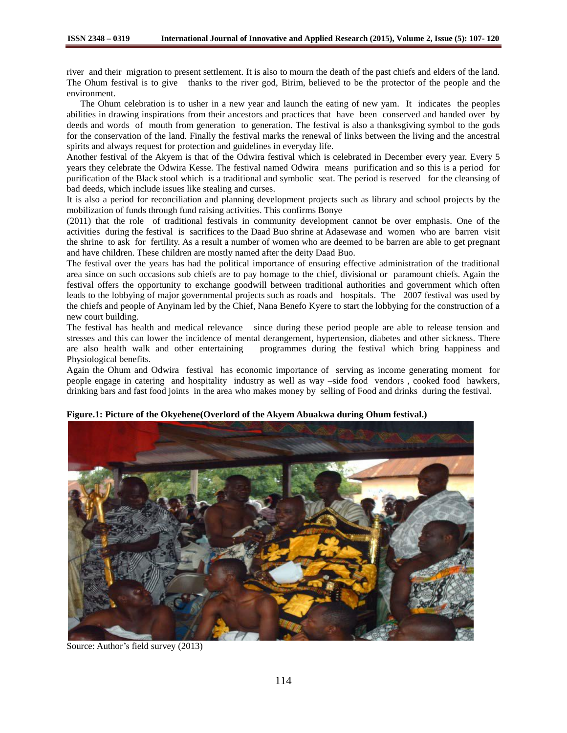river and their migration to present settlement. It is also to mourn the death of the past chiefs and elders of the land. The Ohum festival is to give thanks to the river god, Birim, believed to be the protector of the people and the environment.

 The Ohum celebration is to usher in a new year and launch the eating of new yam. It indicates the peoples abilities in drawing inspirations from their ancestors and practices that have been conserved and handed over by deeds and words of mouth from generation to generation. The festival is also a thanksgiving symbol to the gods for the conservation of the land. Finally the festival marks the renewal of links between the living and the ancestral spirits and always request for protection and guidelines in everyday life.

Another festival of the Akyem is that of the Odwira festival which is celebrated in December every year. Every 5 years they celebrate the Odwira Kesse. The festival named Odwira means purification and so this is a period for purification of the Black stool which is a traditional and symbolic seat. The period is reserved for the cleansing of bad deeds, which include issues like stealing and curses.

It is also a period for reconciliation and planning development projects such as library and school projects by the mobilization of funds through fund raising activities. This confirms Bonye

(2011) that the role of traditional festivals in community development cannot be over emphasis. One of the activities during the festival is sacrifices to the Daad Buo shrine at Adasewase and women who are barren visit the shrine to ask for fertility. As a result a number of women who are deemed to be barren are able to get pregnant and have children. These children are mostly named after the deity Daad Buo.

The festival over the years has had the political importance of ensuring effective administration of the traditional area since on such occasions sub chiefs are to pay homage to the chief, divisional or paramount chiefs. Again the festival offers the opportunity to exchange goodwill between traditional authorities and government which often leads to the lobbying of major governmental projects such as roads and hospitals. The 2007 festival was used by the chiefs and people of Anyinam led by the Chief, Nana Benefo Kyere to start the lobbying for the construction of a new court building.

The festival has health and medical relevance since during these period people are able to release tension and stresses and this can lower the incidence of mental derangement, hypertension, diabetes and other sickness. There are also health walk and other entertaining programmes during the festival which bring happiness and Physiological benefits.

Again the Ohum and Odwira festival has economic importance of serving as income generating moment for people engage in catering and hospitality industry as well as way –side food vendors , cooked food hawkers, drinking bars and fast food joints in the area who makes money by selling of Food and drinks during the festival.



**Figure.1: Picture of the Okyehene(Overlord of the Akyem Abuakwa during Ohum festival.)**

Source: Author's field survey (2013)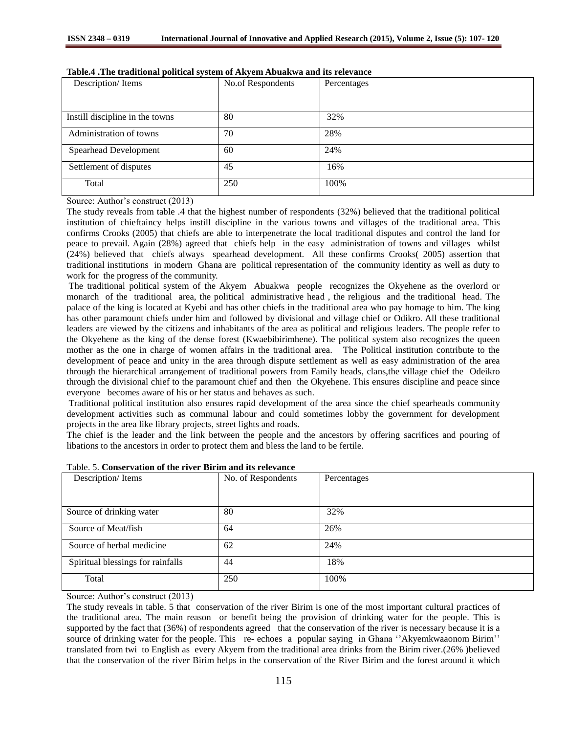| Description/Items               | No.of Respondents | Percentages |
|---------------------------------|-------------------|-------------|
|                                 |                   |             |
| Instill discipline in the towns | 80                | 32%         |
| Administration of towns         | 70                | 28%         |
| Spearhead Development           | 60                | 24%         |
| Settlement of disputes          | 45                | 16%         |
| Total                           | 250               | 100%        |

|  |  | Table.4 . The traditional political system of Akyem Abuakwa and its relevance |
|--|--|-------------------------------------------------------------------------------|
|--|--|-------------------------------------------------------------------------------|

Source: Author's construct (2013)

The study reveals from table .4 that the highest number of respondents (32%) believed that the traditional political institution of chieftaincy helps instill discipline in the various towns and villages of the traditional area. This confirms Crooks (2005) that chiefs are able to interpenetrate the local traditional disputes and control the land for peace to prevail. Again (28%) agreed that chiefs help in the easy administration of towns and villages whilst (24%) believed that chiefs always spearhead development. All these confirms Crooks( 2005) assertion that traditional institutions in modern Ghana are political representation of the community identity as well as duty to work for the progress of the community.

The traditional political system of the Akyem Abuakwa people recognizes the Okyehene as the overlord or monarch of the traditional area, the political administrative head , the religious and the traditional head. The palace of the king is located at Kyebi and has other chiefs in the traditional area who pay homage to him. The king has other paramount chiefs under him and followed by divisional and village chief or Odikro. All these traditional leaders are viewed by the citizens and inhabitants of the area as political and religious leaders. The people refer to the Okyehene as the king of the dense forest (Kwaebibirimhene). The political system also recognizes the queen mother as the one in charge of women affairs in the traditional area. The Political institution contribute to the development of peace and unity in the area through dispute settlement as well as easy administration of the area through the hierarchical arrangement of traditional powers from Family heads, clans,the village chief the Odeikro through the divisional chief to the paramount chief and then the Okyehene. This ensures discipline and peace since everyone becomes aware of his or her status and behaves as such.

Traditional political institution also ensures rapid development of the area since the chief spearheads community development activities such as communal labour and could sometimes lobby the government for development projects in the area like library projects, street lights and roads.

The chief is the leader and the link between the people and the ancestors by offering sacrifices and pouring of libations to the ancestors in order to protect them and bless the land to be fertile.

| Description/Items                 | No. of Respondents | Percentages |
|-----------------------------------|--------------------|-------------|
|                                   |                    |             |
| Source of drinking water          | 80                 | 32%         |
| Source of Meat/fish               | 64                 | 26%         |
| Source of herbal medicine         | 62                 | 24%         |
| Spiritual blessings for rainfalls | 44                 | 18%         |
| Total                             | 250                | 100%        |

| Table. 5. Conservation of the river Birim and its relevance |
|-------------------------------------------------------------|
|-------------------------------------------------------------|

Source: Author's construct (2013)

The study reveals in table. 5 that conservation of the river Birim is one of the most important cultural practices of the traditional area. The main reason or benefit being the provision of drinking water for the people. This is supported by the fact that (36%) of respondents agreed that the conservation of the river is necessary because it is a source of drinking water for the people. This re- echoes a popular saying in Ghana "Akyemkwaaonom Birim" translated from twi to English as every Akyem from the traditional area drinks from the Birim river.(26% )believed that the conservation of the river Birim helps in the conservation of the River Birim and the forest around it which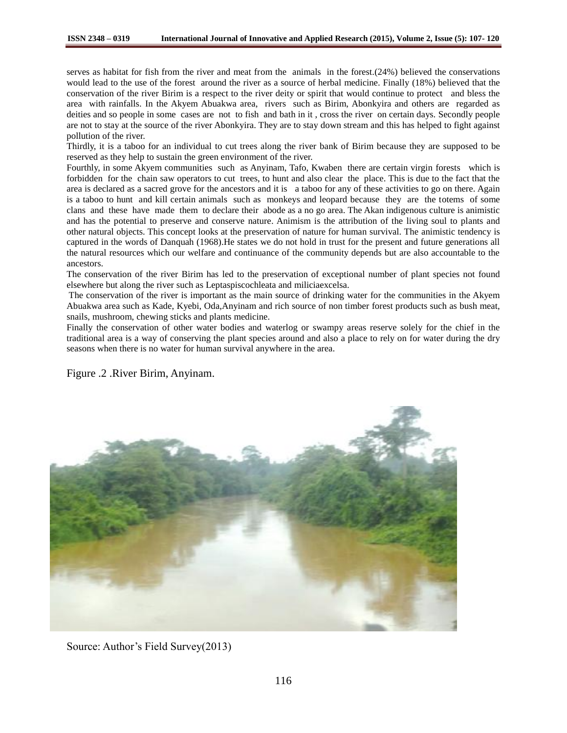serves as habitat for fish from the river and meat from the animals in the forest.(24%) believed the conservations would lead to the use of the forest around the river as a source of herbal medicine. Finally (18%) believed that the conservation of the river Birim is a respect to the river deity or spirit that would continue to protect and bless the area with rainfalls. In the Akyem Abuakwa area, rivers such as Birim, Abonkyira and others are regarded as deities and so people in some cases are not to fish and bath in it , cross the river on certain days. Secondly people are not to stay at the source of the river Abonkyira. They are to stay down stream and this has helped to fight against pollution of the river.

Thirdly, it is a taboo for an individual to cut trees along the river bank of Birim because they are supposed to be reserved as they help to sustain the green environment of the river.

Fourthly, in some Akyem communities such as Anyinam, Tafo, Kwaben there are certain virgin forests which is forbidden for the chain saw operators to cut trees, to hunt and also clear the place. This is due to the fact that the area is declared as a sacred grove for the ancestors and it is a taboo for any of these activities to go on there. Again is a taboo to hunt and kill certain animals such as monkeys and leopard because they are the totems of some clans and these have made them to declare their abode as a no go area. The Akan indigenous culture is animistic and has the potential to preserve and conserve nature. Animism is the attribution of the living soul to plants and other natural objects. This concept looks at the preservation of nature for human survival. The animistic tendency is captured in the words of Danquah (1968).He states we do not hold in trust for the present and future generations all the natural resources which our welfare and continuance of the community depends but are also accountable to the ancestors.

The conservation of the river Birim has led to the preservation of exceptional number of plant species not found elsewhere but along the river such as Leptaspiscochleata and miliciaexcelsa.

The conservation of the river is important as the main source of drinking water for the communities in the Akyem Abuakwa area such as Kade, Kyebi, Oda,Anyinam and rich source of non timber forest products such as bush meat, snails, mushroom, chewing sticks and plants medicine.

Finally the conservation of other water bodies and waterlog or swampy areas reserve solely for the chief in the traditional area is a way of conserving the plant species around and also a place to rely on for water during the dry seasons when there is no water for human survival anywhere in the area.

# Figure .2 .River Birim, Anyinam.



Source: Author's Field Survey(2013)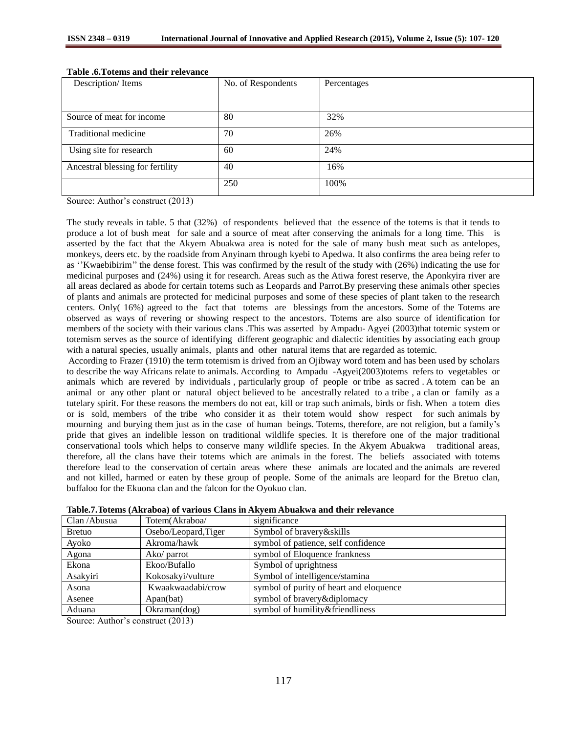| Description/Items                | No. of Respondents | Percentages |
|----------------------------------|--------------------|-------------|
|                                  |                    |             |
|                                  |                    |             |
| Source of meat for income        | 80                 | 32%         |
| Traditional medicine             | 70                 | 26%         |
| Using site for research          | 60                 | 24%         |
| Ancestral blessing for fertility | 40                 | 16%         |
|                                  | 250                | 100%        |

# **Table .6.Totems and their relevance**

Source: Author's construct (2013)

The study reveals in table. 5 that (32%) of respondents believed that the essence of the totems is that it tends to produce a lot of bush meat for sale and a source of meat after conserving the animals for a long time. This is asserted by the fact that the Akyem Abuakwa area is noted for the sale of many bush meat such as antelopes, monkeys, deers etc. by the roadside from Anyinam through kyebi to Apedwa. It also confirms the area being refer to as ''Kwaebibirim'' the dense forest. This was confirmed by the result of the study with (26%) indicating the use for medicinal purposes and (24%) using it for research. Areas such as the Atiwa forest reserve, the Aponkyira river are all areas declared as abode for certain totems such as Leopards and Parrot.By preserving these animals other species of plants and animals are protected for medicinal purposes and some of these species of plant taken to the research centers. Only( 16%) agreed to the fact that totems are blessings from the ancestors. Some of the Totems are observed as ways of revering or showing respect to the ancestors. Totems are also source of identification for members of the society with their various clans .This was asserted by Ampadu- Agyei (2003)that totemic system or totemism serves as the source of identifying different geographic and dialectic identities by associating each group with a natural species, usually animals, plants and other natural items that are regarded as totemic.

According to Frazer (1910) the term totemism is drived from an Ojibway word totem and has been used by scholars to describe the way Africans relate to animals. According to Ampadu -Agyei(2003)totems refers to vegetables or animals which are revered by individuals , particularly group of people or tribe as sacred . A totem can be an animal or any other plant or natural object believed to be ancestrally related to a tribe , a clan or family as a tutelary spirit. For these reasons the members do not eat, kill or trap such animals, birds or fish. When a totem dies or is sold, members of the tribe who consider it as their totem would show respect for such animals by mourning and burying them just as in the case of human beings. Totems, therefore, are not religion, but a family's pride that gives an indelible lesson on traditional wildlife species. It is therefore one of the major traditional conservational tools which helps to conserve many wildlife species. In the Akyem Abuakwa traditional areas, therefore, all the clans have their totems which are animals in the forest. The beliefs associated with totems therefore lead to the conservation of certain areas where these animals are located and the animals are revered and not killed, harmed or eaten by these group of people. Some of the animals are leopard for the Bretuo clan, buffaloo for the Ekuona clan and the falcon for the Oyokuo clan.

| Clan / Abusua | Totem(Akraboa/       | significance                            |
|---------------|----------------------|-----------------------------------------|
| <b>Bretuo</b> | Osebo/Leopard, Tiger | Symbol of bravery&skills                |
| Ayoko         | Akroma/hawk          | symbol of patience, self confidence     |
| Agona         | Ako/ parrot          | symbol of Eloquence frankness           |
| Ekona         | Ekoo/Bufallo         | Symbol of uprightness                   |
| Asakyiri      | Kokosakyi/vulture    | Symbol of intelligence/stamina          |
| Asona         | Kwaakwaadabi/crow    | symbol of purity of heart and eloquence |
| Asenee        | Apan(bat)            | symbol of bravery&diplomacy             |
| Aduana        | Okraman(dog)         | symbol of humility&friendliness         |
|               |                      |                                         |

**Table.7.Totems (Akraboa) of various Clans in Akyem Abuakwa and their relevance**

Source: Author's construct (2013)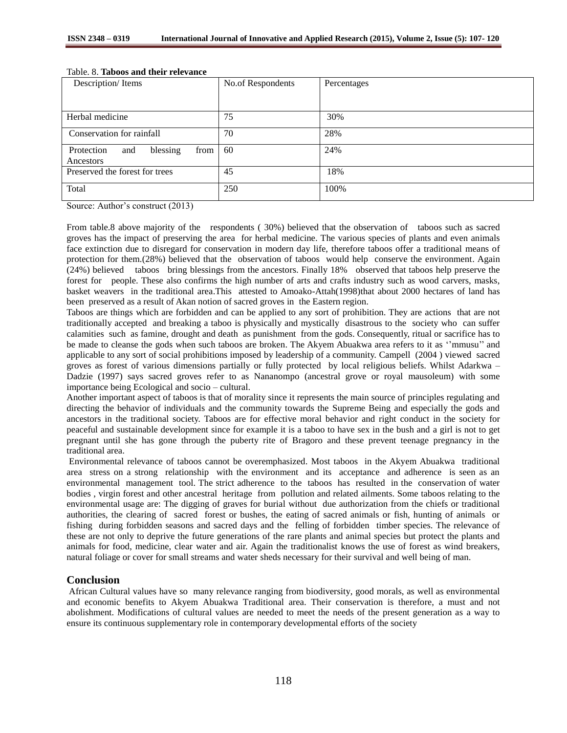| Description/Items                                  | No.of Respondents | Percentages |
|----------------------------------------------------|-------------------|-------------|
|                                                    |                   |             |
| Herbal medicine                                    | 75                | 30%         |
| Conservation for rainfall                          | 70                | 28%         |
| blessing<br>Protection<br>from<br>and<br>Ancestors | 60                | 24%         |
| Preserved the forest for trees                     | 45                | 18%         |
| Total                                              | 250               | 100%        |

# Table. 8. **Taboos and their relevance**

Source: Author's construct (2013)

From table.8 above majority of the respondents ( 30%) believed that the observation of taboos such as sacred groves has the impact of preserving the area for herbal medicine. The various species of plants and even animals face extinction due to disregard for conservation in modern day life, therefore taboos offer a traditional means of protection for them.(28%) believed that the observation of taboos would help conserve the environment. Again (24%) believed taboos bring blessings from the ancestors. Finally 18% observed that taboos help preserve the forest for people. These also confirms the high number of arts and crafts industry such as wood carvers, masks, basket weavers in the traditional area.This attested to Amoako-Attah(1998)that about 2000 hectares of land has been preserved as a result of Akan notion of sacred groves in the Eastern region.

Taboos are things which are forbidden and can be applied to any sort of prohibition. They are actions that are not traditionally accepted and breaking a taboo is physically and mystically disastrous to the society who can suffer calamities such as famine, drought and death as punishment from the gods. Consequently, ritual or sacrifice has to be made to cleanse the gods when such taboos are broken. The Akyem Abuakwa area refers to it as ''mmusu'' and applicable to any sort of social prohibitions imposed by leadership of a community. Campell (2004 ) viewed sacred groves as forest of various dimensions partially or fully protected by local religious beliefs. Whilst Adarkwa – Dadzie (1997) says sacred groves refer to as Nananompo (ancestral grove or royal mausoleum) with some importance being Ecological and socio – cultural.

Another important aspect of taboos is that of morality since it represents the main source of principles regulating and directing the behavior of individuals and the community towards the Supreme Being and especially the gods and ancestors in the traditional society. Taboos are for effective moral behavior and right conduct in the society for peaceful and sustainable development since for example it is a taboo to have sex in the bush and a girl is not to get pregnant until she has gone through the puberty rite of Bragoro and these prevent teenage pregnancy in the traditional area.

Environmental relevance of taboos cannot be overemphasized. Most taboos in the Akyem Abuakwa traditional area stress on a strong relationship with the environment and its acceptance and adherence is seen as an environmental management tool. The strict adherence to the taboos has resulted in the conservation of water bodies , virgin forest and other ancestral heritage from pollution and related ailments. Some taboos relating to the environmental usage are: The digging of graves for burial without due authorization from the chiefs or traditional authorities, the clearing of sacred forest or bushes, the eating of sacred animals or fish, hunting of animals or fishing during forbidden seasons and sacred days and the felling of forbidden timber species. The relevance of these are not only to deprive the future generations of the rare plants and animal species but protect the plants and animals for food, medicine, clear water and air. Again the traditionalist knows the use of forest as wind breakers, natural foliage or cover for small streams and water sheds necessary for their survival and well being of man.

# **Conclusion**

African Cultural values have so many relevance ranging from biodiversity, good morals, as well as environmental and economic benefits to Akyem Abuakwa Traditional area. Their conservation is therefore, a must and not abolishment. Modifications of cultural values are needed to meet the needs of the present generation as a way to ensure its continuous supplementary role in contemporary developmental efforts of the society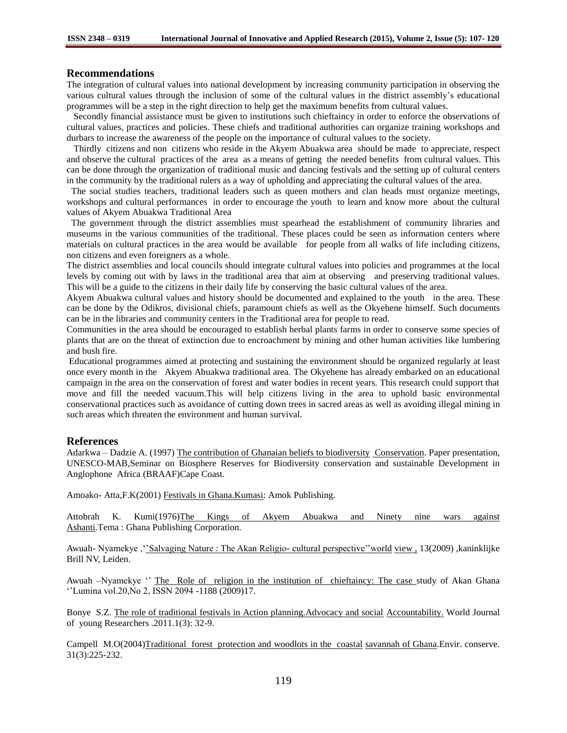# **Recommendations**

The integration of cultural values into national development by increasing community participation in observing the various cultural values through the inclusion of some of the cultural values in the district assembly's educational programmes will be a step in the right direction to help get the maximum benefits from cultural values.

 Secondly financial assistance must be given to institutions such chieftaincy in order to enforce the observations of cultural values, practices and policies. These chiefs and traditional authorities can organize training workshops and durbars to increase the awareness of the people on the importance of cultural values to the society.

 Thirdly citizens and non citizens who reside in the Akyem Abuakwa area should be made to appreciate, respect and observe the cultural practices of the area as a means of getting the needed benefits from cultural values. This can be done through the organization of traditional music and dancing festivals and the setting up of cultural centers in the community by the traditional rulers as a way of upholding and appreciating the cultural values of the area.

 The social studies teachers, traditional leaders such as queen mothers and clan heads must organize meetings, workshops and cultural performances in order to encourage the youth to learn and know more about the cultural values of Akyem Abuakwa Traditional Area

 The government through the district assemblies must spearhead the establishment of community libraries and museums in the various communities of the traditional. These places could be seen as information centers where materials on cultural practices in the area would be available for people from all walks of life including citizens, non citizens and even foreigners as a whole.

The district assemblies and local councils should integrate cultural values into policies and programmes at the local levels by coming out with by laws in the traditional area that aim at observing and preserving traditional values. This will be a guide to the citizens in their daily life by conserving the basic cultural values of the area.

Akyem Abuakwa cultural values and history should be documented and explained to the youth in the area. These can be done by the Odikros, divisional chiefs, paramount chiefs as well as the Okyehene himself. Such documents can be in the libraries and community centers in the Traditional area for people to read.

Communities in the area should be encouraged to establish herbal plants farms in order to conserve some species of plants that are on the threat of extinction due to encroachment by mining and other human activities like lumbering and bush fire.

Educational programmes aimed at protecting and sustaining the environment should be organized regularly at least once every month in the Akyem Abuakwa traditional area. The Okyehene has already embarked on an educational campaign in the area on the conservation of forest and water bodies in recent years. This research could support that move and fill the needed vacuum.This will help citizens living in the area to uphold basic environmental conservational practices such as avoidance of cutting down trees in sacred areas as well as avoiding illegal mining in such areas which threaten the environment and human survival.

## **References**

Adarkwa – Dadzie A. (1997) The contribution of Ghanaian beliefs to biodiversity Conservation. Paper presentation, UNESCO-MAB,Seminar on Biosphere Reserves for Biodiversity conservation and sustainable Development in Anglophone Africa (BRAAF)Cape Coast.

Amoako- Atta,F.K(2001) Festivals in Ghana.Kumasi: Amok Publishing.

Attobrah K. Kumi(1976)The Kings of Akyem Abuakwa and Ninety nine wars against Ashanti.Tema : Ghana Publishing Corporation.

Awuah- Nyamekye , '<u>'Salvaging Nature : The Akan Religio- cultural perspective''world view ,</u> 13(2009) ,kaninklijke Brill NV, Leiden.

Awuah –Nyamekye " The Role of religion in the institution of chieftaincy: The case study of Akan Ghana ''Lumina vol.20,No 2, ISSN 2094 -1188 (2009)17.

Bonye S.Z. The role of traditional festivals in Action planning.Advocacy and social Accountability. World Journal of young Researchers .2011.1(3): 32-9.

Campell M.O(2004)Traditional forest protection and woodlots in the coastal savannah of Ghana.Envir. conserve. 31(3):225-232.